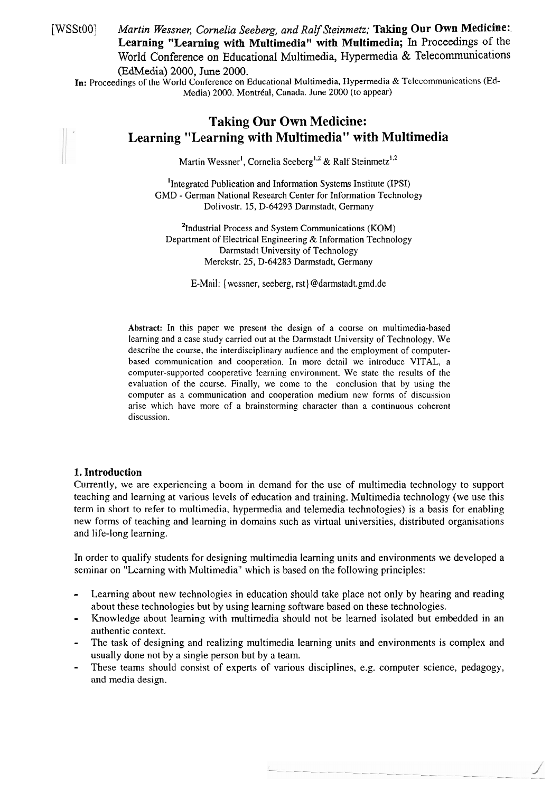[WSSt00] Martin Wessner, Cornelia Seeberg, and Ralf Steinmetz; Taking Our Own Medicine: **Learning "Learning with Multimedia" with Multimedia; In** Proceedings of the World Conference on Educational Multimedia, Hypemedia & Telecommunications (EdMedia) 2000, June 2000.

In: Proceedings of the World Conference on Educational Multimedia, Hypermedia & Telecommunications (Ed-Media) 2000. Montréal, Canada. June 2000 (to appear)

# **Taking Our Own Medicine: Learning "Learning with Multimedia" with Multimedia**

Martin Wessner<sup>1</sup>, Cornelia Seeberg<sup>1,2</sup> & Ralf Steinmetz<sup>1,2</sup>

<sup>1</sup>Integrated Publication and Information Systems Institute (IPSI) GMD - German National Research Center for Information Technology Dolivostr. 15, D-64293 Darrnstadt, Germany

**<sup>2</sup>**Industrial Process and System Communications (KOM) Department of Electrical Engineering & Information Technology Darmstadt University of Technology Merckstr. 25, D-64283 Darmstadt, Germany

E-Mail: { wessner, seeberg, rst} @darmstadt.gmd.de

**Abstract:** In this paper we present the design of a coorse on multimedia-based learning and a case study carried out at the Darmstadt University of Technology. We describe the course, thc interdisciplinary audience and the employment of computerbased communication and cooperation. In more detail we introduce VITAL, a computer-supported cooperative learning environment. We state the results of the evaluation of the course. Finally, we come to the conclusion that by using the computer as a communication and cooperation medium new forms of discussion arise which have more of a brainstorming character than a continuous coherent discussion.

## **1. Introduction**

Currently, we are experiencing a boom in demand for the use of multimedia technology to Support teaching and learning at various levels of education and training. Multimedia technology (we use this term in short to refer to multimedia, hypermedia and telemedia technologies) is a basis for enabling new forms of teaching and learning in domains such as virtual universities, distributed organisations and life-long learning.

In order to qualify students for designing multimedia learning units and environments we developed a seminar on "Learning with Multimedia" which is based on the following principles:

- Learning about new technologies in education should take place not only by hearing and reading about these technologies but by using learning software based on these technologies.
- Knowledge about learning with multimedia should not be learned isolated but embedded in an authentic context.
- The task of designing and realizing multimedia learning units and environments is complex and usually done not by a single person but by a team.
- These teams should consist of experts of various disciplines, e.g. computer science, pedagogy, and media design.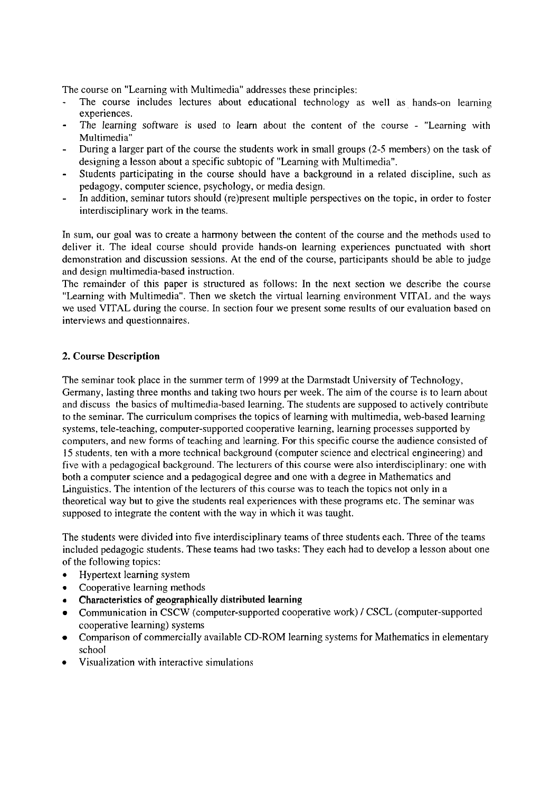The course on "Learning with Multimedia" addresses these principles:

- The course includes lectures about educational technology as well as hands-on learning experiences.<br>The learning software is used to learn about the content of the course - "Learning with
- 
- Multimedia"<br>During a larger part of the course the students work in small groups (2-5 members) on the task of designing a lesson about a specific subtopic of "Learning with Multimedia".
- Students participating in the course should have a background in a related discipline, such as pedagogy, computer science, psychology, or media design.<br>In addition, seminar tutors should (re)present multiple perspectives on the topic, in order to foster
- interdisciplinary work in the teams.

In sum, our goal was to create a harmony between the content of the course and the methods used to deliver it. The ideal course should provide hands-on learning experiences punctuated with short demonstration and discussion sessions. At the end of the course, participants should be able to judge and design multimedia-based instruction.

The remainder of this paper is structured as follows: In the next section we describe the course "Learning with Multimedia". Then we sketch the virtual learning environment VITAL and the ways we used VITAL during the course. In section four we present some results of our evaluation based on interviews and questionnaires.

## **2. Course Description**

The seminar took place in the summer term of 1999 at the Darmstadt University of Technology, Germany, lasting three months and taking two hours per week. The aim of the course is to learn about and discuss the basics of multimedia-based learning. The students are supposed to actively contribute to the seminar. The curriculum comprises the topics of learning with multimedia, web-based learning systems, tele-teaching, computer-supported cooperative learning, learning processes supported by Computers, and new forms of teaching and learning. For this specific course the audience consisted of 15 students, ten with a more technical background (computer science and electrical engineering) and five with a pedagogical background. The lecturers of this course were also interdisciplinary: one with both a computer science and a pedagogical degree and one with a degree in Mathematics and Linguistics. The intention of the lecturers of this course was to teach the topics not only in a theoretical way but to give the students real experiences with these programs etc. The seminar was supposed to integrate the content with the way in which it was taught.

The students were divided into five interdisciplinary teams of three students each. Three of the teams included pedagogic students. These teams had two tasks: They each had to develop a lesson about one of the following topics:

- Hypertext learning system
- $\bullet$ Cooperative learning methods
- Characteristics of geographically distributed learning
- Communication in CSCW (computer-supported cooperative work) 1 CSCL (computer-supported cooperative learning) systems
- Comparison of commercially available CD-ROM learning systems for Mathematics in elementary school
- Visualization with interactive simulations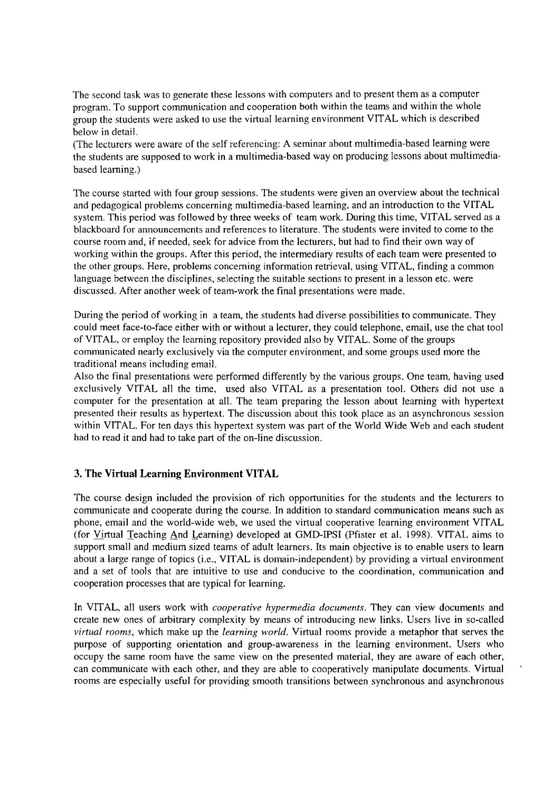The second task was to generate these lessons with computers and to present them as a computer program. To support communication and cooperation both within the teams and within the whole group the students were asked to use the virtual learning environment VITAL which is described below in detail.

(The lecturers were aware of the self referencing: A seminar about multimedia-based learning were the students are supposed to work in a multimedia-based way on producing lessons about multimediabased learning.)

The course started with four group sessions. The students were given an overview about the technical and pedagogical problems concerning multimedia-based leaming, and an introduction to the VITAL system. This period was followed by three weeks of team work. During this time, VITAL served as a blackboard for announcements and references to literature. The students were invited to come to the course room and, if needed, seek for advice from the lecturers, but had to find their own way of working within the groups. After this period, the intermediary results of each team were presented to the other groups. Here, problems concerning information retrieval, using VITAL, finding a common language between the disciplines, selecting the suitable sections to present in a lesson etc. were discussed. After another week of team-work the final presentations were made.

During the period of working in a team, the students had diverse possibilities to communicate. They could meet face-to-face either with or without a lecturer, they could telephone, email, use the chat tool of VITAL, or employ the learning repository provided also by VITAL. Some of the groups communicated nearly exclusively via the computer environment, and some groups used more the traditional means including email.

Also the final presentations were performed differently by the various groups. One team, having used exclusively VITAL all the time, used also VITAL as a presentation tool. Others did not use a Computer for the presentation at all. The team preparing the lesson about learning with hypertext presented their results as hypertext. The discussion about this took place as an asynchronous session within VITAL. For ten days this hypertext system was part of the World Wide Web and each student had to read it and had to take part of the on-line discussion.

## **3. The Virtual Learning Environment VITAL**

The course design included the provision of rich opportunities for the students and the lecturers to communicate and cooperate during the course. In addition to standard communication means such as phone, email and the world-wide web, we used the virtual cooperative leaming environment VITAL (for Virtual Teaching And Learning) developed at GMD-IPSI (Pfister et al. 1998). VITAL aims to support small and medium sized teams of adult learners. Its main objective is to enable users to learn about a large range of topics (i.e., VITAL is domain-independent) by providing a virtual environment and a set of tools that are intuitive to use and conducive to the coordination, communication and cooperation processes that are typical for learning.

In VITAL, all users work with *cooperative hypermedia documents*. They can view documents and create new ones of arbitrary complexity by means of introducing new links. Users live in so-called virtual rooms, which make up the learning world. Virtual rooms provide a metaphor that serves the purpose of supporting orientation and group-awareness in the learning environment. Users who occupy the Same room have the Same view on the presented material, they are aware of each other, can communicate with each other, and they are able to cooperatively manipulate documents. Virtual rooms are especially useful for providing smooth transitions between synchronous and asynchronous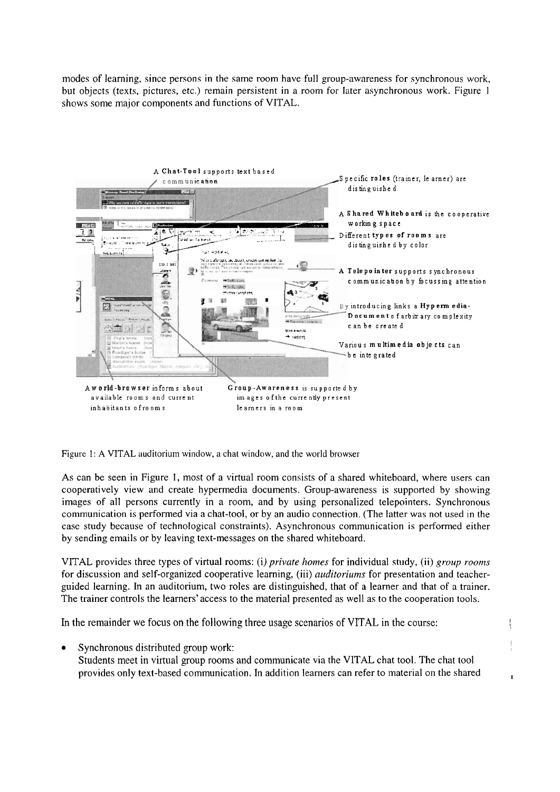modes of learning, since persons in the same room have full group-awareness for synchronous work, but objects (texts, pictures, etc.) remain persistent in a room for later asynchronous work. Figure 1 shows some major components and functions of VITAL.



Figure 1: A VITAL auditorium window, a chat window, and the world browser

As can be seen in Figure 1, most of a virtual room consists of a shared whiteboard, where users can cooperatively view and create hypermedia documents. Group-awareness is supported by showing images of all persons currently in a room, and by using personalized telepointers. Synchronous communication is performed via a chat-tool, or by an audio connection. (The latter was not used in the case study because of technological constraints). Asynchronous communication is performed either by sending emails or by leaving text-messages on the shared whiteboard.

VITAL provides three types of virtual rooms: (i) private homes for individual study, (ii) group rooms for discussion and self-organized cooperative learning, (iii) *auditoriums* for presentation and teacherguided learning. In an auditorium, two roles are distinguished, that of a learner and that of a trainer. The trainer controls the learners' access to the material presented as well as to the cooperation tools.

In the remainder we focus on the following three usage scenarios of VITAL in the course:

Synchronous distributed group work: Students meet in virtual group rooms and communicate via the VITAL chat tool. The chat tool provides only text-based communication. In addition learners can refer to material on the shared

 $\mathbf{r}$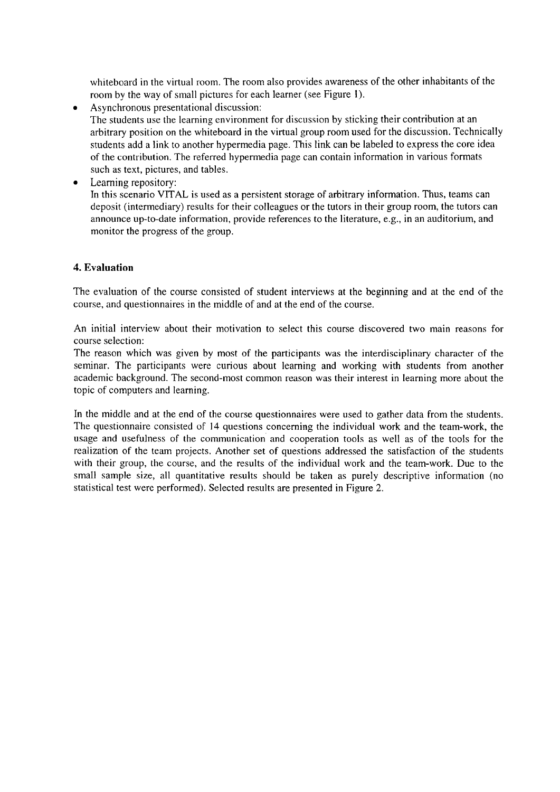whiteboard in the virtual room. The room also provides awareness of the other inhabitants of the room by the way of small pictures for each learner (see Figure 1).

- Asynchronous presentational discussion:  $\bullet$ The students use the learning environment for discussion by sticking their contribution at an arbitrary position on the whiteboard in the virtual group room used for the discussion. Technically students add a link to another hypermedia page. This link can be labeled to express the core idea of the contribution. The referred hypermedia page can contain information in various formats such as text, pictures, and tables.
- Learning repository:

In this scenario VITAL is used as a persistent storage of arbitrary information. Thus, teams can deposit (intermediary) results for their colleagues or the tutors in their group room, the tutors can announce up-to-date information, provide references to the literature, e.g., in an auditorium, and monitor the progress of the group.

## **4. Evaluation**

The evaluation of the course consisted of student interviews at the beginning and at the end of the course, and questionnaires in the middle of and at the end of the course.

An initial interview about their motivation to select this course discovered two main reasons for course selection:

The reason which was given by most of the participants was the interdisciplinary character of the serninar. The participants were curious about learning and working with students from another academic background. The second-most common reason was their interest in learning more about the topic of Computers and learning.

In the middle and at the end of the course questionnaires were used to gather data from the students. The questionnaire consisted of 14 questions concerning the individual work and the team-work, the usage and usefulness of the communication' and cooperation tools as well as of the tools for the realization of the team projects. Another set of questions addressed the satisfaction of the students with their group, the course, and the results of the individual work and the team-work. Due to the small sample size, all quantitative results should be taken as purely descriptive information (no statistical test were performed). Selected results are presented in Figure 2.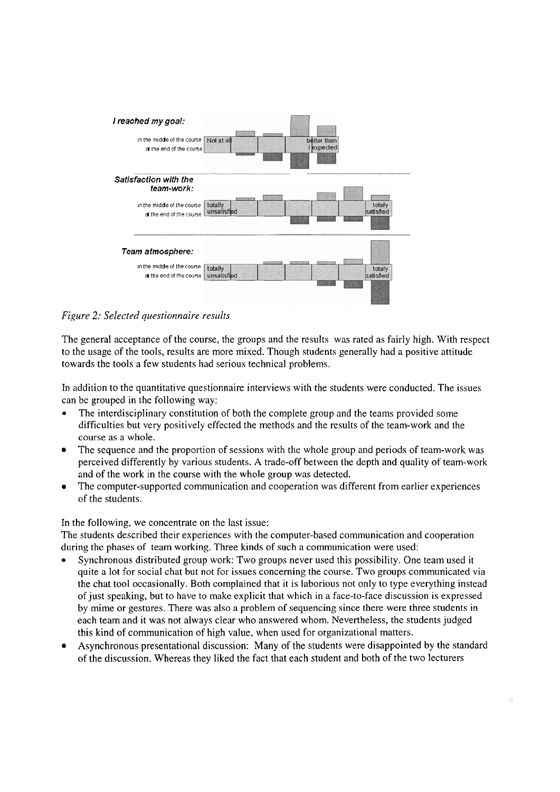

*Figure 2: Selected questionnaire results* 

The general acceptance of the course, the groups and the results was rated as fairly high. With respect to the usage of the tools, results are more mixed. Though students generally had a positive attitude towards the tools a few students had serious technical problems.

In addition to the quantitative questionnaire interviews with the students were conducted. The issues can be grouped in the following way:

- The interdisciplinary constitution of both the complete group and the teams provided some difficulties but very positively effected the methods and the results of the team-work and the course as a whole.
- The sequence and the proportion of sessions with the whole group and periods of team-work was  $\bullet$ perceived differently by various students. A trade-off between the depth and quality of team-work and of the work in the course with the whole group was detected.
- $\bullet$ The computer-supported communication and cooperation was different from earlier experiences of the students.

In the following, we concentrate on the last issue:

The students described their experiences with the computer-based communication and cooperation during the phases of team working. Three kinds of such a communication were used:

- Synchronous distributed group work: Two groups never used this possibility. One team used it quite a lot for social chat but not for issues concerning the course. Two groups communicated via the chat tool occasionally. Both complained that it is laborious not only to type everything instead of just speaking, but to have to make explicit that which in a face-to-face discussion is expressed by mime or gestures. There was also a problem of sequencing since there were three students in each team and it was not always clear who answered whom. Nevertheless, the students judged this kind of communication of high value, when used for organizational matters.
- Asynchronous presentational discussion: Many of the students were disappointed by the standard of the discussion. Whereas they liked the fact that each student and both of the two lecturers